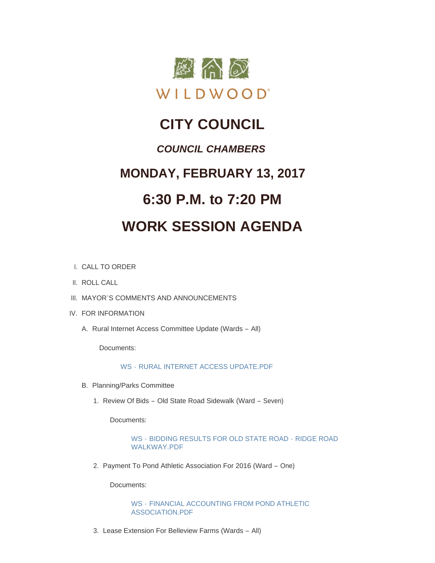

# **CITY COUNCIL**

## *COUNCIL CHAMBERS*

# **MONDAY, FEBRUARY 13, 2017**

# **6:30 P.M. to 7:20 PM**

# **WORK SESSION AGENDA**

- CALL TO ORDER I.
- II. ROLL CALL
- III. MAYOR'S COMMENTS AND ANNOUNCEMENTS
- IV. FOR INFORMATION
	- A. Rural Internet Access Committee Update (Wards All)

Documents:

## WS - [RURAL INTERNET ACCESS UPDATE.PDF](http://cityofwildwood.com/AgendaCenter/ViewFile/Item/9766?fileID=14154)

- B. Planning/Parks Committee
	- 1. Review Of Bids Old State Road Sidewalk (Ward Seven)

Documents:

## WS - [BIDDING RESULTS FOR OLD STATE ROAD -](http://cityofwildwood.com/AgendaCenter/ViewFile/Item/9768?fileID=14155) RIDGE ROAD WALKWAY.PDF

2. Payment To Pond Athletic Association For 2016 (Ward - One)

Documents:

WS - [FINANCIAL ACCOUNTING FROM POND ATHLETIC](http://cityofwildwood.com/AgendaCenter/ViewFile/Item/9769?fileID=14156)  ASSOCIATION.PDF

3. Lease Extension For Belleview Farms (Wards - All)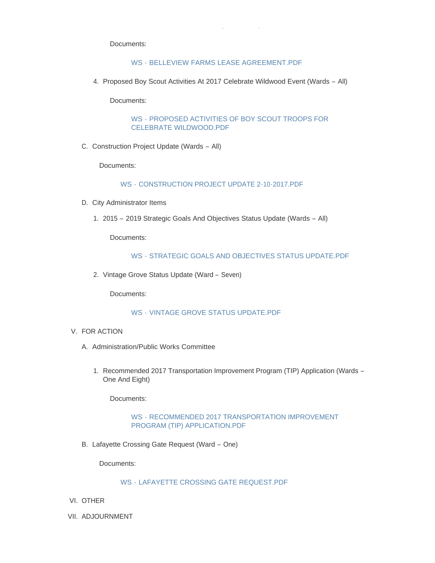Documents:

### WS - [BELLEVIEW FARMS LEASE AGREEMENT.PDF](http://cityofwildwood.com/AgendaCenter/ViewFile/Item/9770?fileID=14157)

Lease Extension For Belleview Farms (Wards – All)

4. Proposed Boy Scout Activities At 2017 Celebrate Wildwood Event (Wards - All)

Documents:

WS - [PROPOSED ACTIVITIES OF BOY SCOUT TROOPS FOR](http://cityofwildwood.com/AgendaCenter/ViewFile/Item/9771?fileID=14158)  CELEBRATE WILDWOOD.PDF

C. Construction Project Update (Wards - All)

Documents:

WS - [CONSTRUCTION PROJECT UPDATE 2-10-2017.PDF](http://cityofwildwood.com/AgendaCenter/ViewFile/Item/9772?fileID=14159)

- D. City Administrator Items
	- 2015 2019 Strategic Goals And Objectives Status Update (Wards All) 1.

Documents:

#### WS - [STRATEGIC GOALS AND OBJECTIVES STATUS UPDATE.PDF](http://cityofwildwood.com/AgendaCenter/ViewFile/Item/9774?fileID=14160)

2. Vintage Grove Status Update (Ward - Seven)

Documents:

### WS - [VINTAGE GROVE STATUS UPDATE.PDF](http://cityofwildwood.com/AgendaCenter/ViewFile/Item/9775?fileID=14161)

- V. FOR ACTION
	- A. Administration/Public Works Committee
		- 1. Recommended 2017 Transportation Improvement Program (TIP) Application (Wards -One And Eight)

Documents:

#### WS - [RECOMMENDED 2017 TRANSPORTATION IMPROVEMENT](http://cityofwildwood.com/AgendaCenter/ViewFile/Item/9780?fileID=14164)  PROGRAM (TIP) APPLICATION.PDF

B. Lafayette Crossing Gate Request (Ward - One)

Documents:

#### WS - [LAFAYETTE CROSSING GATE REQUEST.PDF](http://cityofwildwood.com/AgendaCenter/ViewFile/Item/9777?fileID=14162)

- VI. OTHER
- VII. ADJOURNMENT